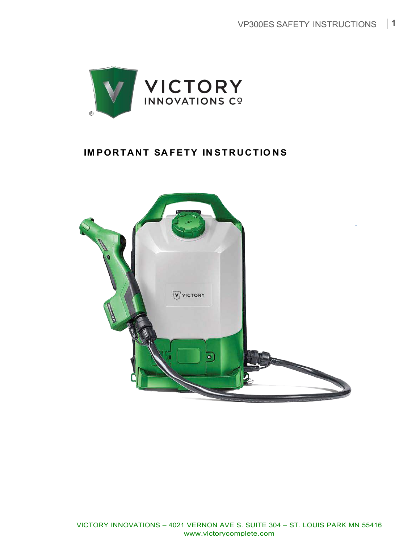

# **IM PORTANT SA FETY IN STRUCTIO NS**

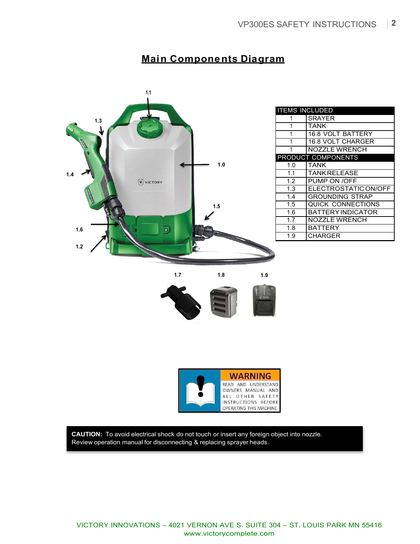# **Main Components Diagram**



| <b>ITEMS INCLUDED</b>     |                          |
|---------------------------|--------------------------|
| 1                         | <b>SRAYER</b>            |
| 1                         | <b>TANK</b>              |
| 1                         | <b>16.8 VOLT BATTERY</b> |
| 1                         | <b>16.8 VOLT CHARGER</b> |
| 1                         | <b>NOZZLE WRENCH</b>     |
| <b>PRODUCT COMPONENTS</b> |                          |
| 1.0                       | <b>TANK</b>              |
| 1.1                       | <b>TANK RELEASE</b>      |
| 1.2                       | PUMP ON /OFF             |
| 1.3                       | ELECTROSTATIC ON/OFF     |
| 1.4                       | <b>GROUNDING STRAP</b>   |
| 1.5                       | <b>QUICK CONNECTIONS</b> |
| 1.6                       | <b>BATTERY INDICATOR</b> |
| 1.7                       | <b>NOZZLE WRENCH</b>     |
| 1.8                       | <b>BATTERY</b>           |
| 1.9                       | CHARGER                  |





**CAUTION:** To avoid electrical shock do not touch or insert any foreign object into nozzle. Review operation manual for disconnecting & replacing sprayer heads.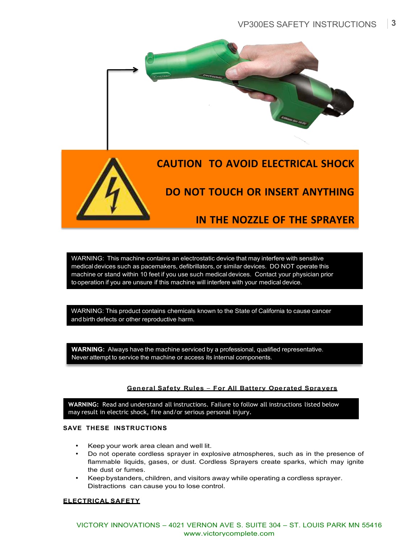



# **DO NOT TOUCH OR INSERT ANYTHING**

## **IN THE NOZZLE OF THE SPRAYER**

WARNING: This machine contains an electrostatic device that may interfere with sensitive medical devices such as pacemakers, defibrillators, or similar devices. DO NOT operate this machine or stand within 10 feet if you use such medical devices. Contact your physician prior to operation if you are unsure if this machine will interfere with your medical device.

WARNING: This product contains chemicals known to the State of California to cause cancer and birth defects or other reproductive harm.

**WARNING:** Always have the machine serviced by a professional, qualified representative. Never attempt to service the machine or access its internal components.

## **General Safety Rules** *–* **For All Battery Operated Spra yers**

**WARNING:** Read and understand all instructions. Failure to follow all instructions listed below may result in electric shock, fire and/or serious personal injury.

#### **SAVE THESE INSTRUCTIONS**

- Keep your work area clean and well lit.
- Do not operate cordless sprayer in explosive atmospheres, such as in the presence of flammable liquids, gases, or dust. Cordless Sprayers create sparks, which may ignite the dust or fumes.
- Keep bystanders, children, and visitors away while operating a cordless sprayer. Distractions can cause you to lose control.

#### **ELECTRICAL SAFETY**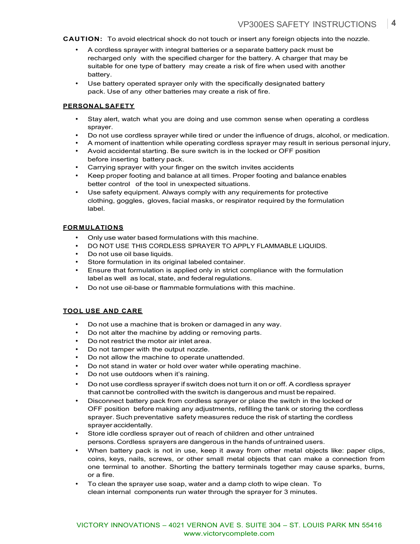**CAUTION:** To avoid electrical shock do not touch or insert any foreign objects into the nozzle.

- A cordless sprayer with integral batteries or a separate battery pack must be recharged only with the specified charger for the battery. A charger that may be suitable for one type of battery may create a risk of fire when used with another battery.
- Use battery operated sprayer only with the specifically designated battery pack. Use of any other batteries may create a risk of fire.

#### **PERSONAL SAFETY**

- Stay alert, watch what you are doing and use common sense when operating a cordless sprayer.
- Do not use cordless sprayer while tired or under the influence of drugs, alcohol, or medication.
- A moment of inattention while operating cordless sprayer may result in serious personal injury,
- Avoid accidental starting. Be sure switch is in the locked or OFF position before inserting battery pack.
- Carrying sprayer with your finger on the switch invites accidents
- Keep proper footing and balance at all times. Proper footing and balance enables better control of the tool in unexpected situations.
- Use safety equipment. Always comply with any requirements for protective clothing, goggles, gloves, facial masks, or respirator required by the formulation label.

#### **FOR MULATIONS**

- Only use water based formulations with this machine.
- DO NOT USE THIS CORDLESS SPRAYER TO APPLY FLAMMABLE LIQUIDS.
- Do not use oil base liquids.
- Store formulation in its original labeled container.
- Ensure that formulation is applied only in strict compliance with the formulation label as well as local, state, and federal regulations.
- Do not use oil-base or flammable formulations with this machine.

#### **TOOL USE AND CARE**

- Do not use a machine that is broken or damaged in any way.
- Do not alter the machine by adding or removing parts.
- Do not restrict the motor air inlet area.
- Do not tamper with the output nozzle.
- Do not allow the machine to operate unattended.
- Do not stand in water or hold over water while operating machine.
- Do not use outdoors when it's raining.
- Do not use cordless sprayer if switch does not turn it on or off. A cordless sprayer that cannotbe controlled with the switch is dangerous and must be repaired.
- Disconnect battery pack from cordless sprayer or place the switch in the locked or OFF position before making any adjustments, refilling the tank or storing the cordless sprayer. Such preventative safety measures reduce the risk of starting the cordless sprayer accidentally.
- Store idle cordless sprayer out of reach of children and other untrained persons. Cordless sprayers are dangerous in the hands of untrained users.
- When battery pack is not in use, keep it away from other metal objects like: paper clips, coins, keys, nails, screws, or other small metal objects that can make a connection from one terminal to another. Shorting the battery terminals together may cause sparks, burns, or a fire.
- To clean the sprayer use soap, water and a damp cloth to wipe clean. To clean internal components run water through the sprayer for 3 minutes.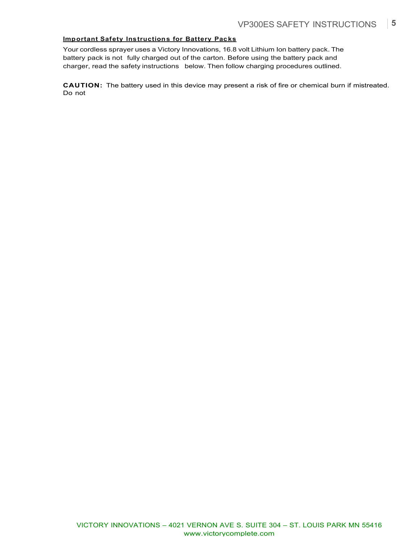## **Important Safety Instructions for Battery Packs**

Your cordless sprayer uses a Victory Innovations, 16.8 volt Lithium Ion battery pack. The battery pack is not fully charged out of the carton. Before using the battery pack and charger, read the safety instructions below. Then follow charging procedures outlined.

**CAUTION:** The battery used in this device may present a risk of fire or chemical burn if mistreated. Do not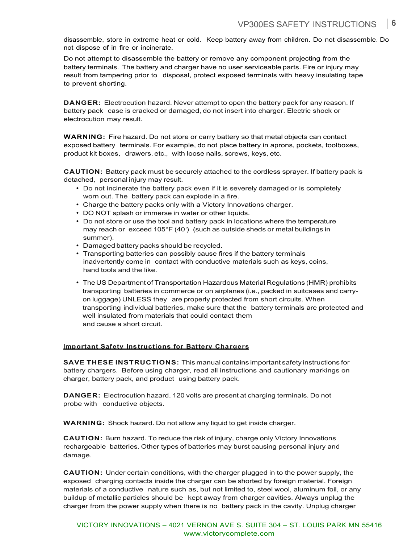disassemble, store in extreme heat or cold. Keep battery away from children. Do not disassemble. Do not dispose of in fire or incinerate.

Do not attempt to disassemble the battery or remove any component projecting from the battery terminals. The battery and charger have no user serviceable parts. Fire or injury may result from tampering prior to disposal, protect exposed terminals with heavy insulating tape to prevent shorting.

**DANGER:** Electrocution hazard. Never attempt to open the battery pack for any reason. If battery pack case is cracked or damaged, do not insert into charger. Electric shock or electrocution may result.

**WARNING:** Fire hazard. Do not store or carry battery so that metal objects can contact exposed battery terminals. For example, do not place battery in aprons, pockets, toolboxes, product kit boxes, drawers, etc., with loose nails, screws, keys, etc.

**CAUTION:** Battery pack must be securely attached to the cordless sprayer. If battery pack is detached, personal injury may result.

- Do not incinerate the battery pack even if it is severely damaged or is completely worn out. The battery pack can explode in a fire.
- Charge the battery packs only with a Victory Innovations charger.
- DO NOT splash or immerse in water or other liquids.
- Do not store or use the tool and battery pack in locations where the temperature may reach or exceed 105°F (40°) (such as outside sheds or metal buildings in summer).
- Damaged battery packs should be recycled.
- Transporting batteries can possibly cause fires if the battery terminals inadvertently come in contact with conductive materials such as keys, coins, hand tools and the like.
- TheUS Department of Transportation Hazardous Material Regulations (HMR) prohibits transporting batteries in commerce or on airplanes (i.e., packed in suitcases and carryon luggage) UNLESS they are properly protected from short circuits. When transporting individual batteries, make sure that the battery terminals are protected and well insulated from materials that could contact them and cause a short circuit.

#### **Important Safety Instructions for Battery Cha rgers**

**SAVE THESE INSTRUCTIONS:** This manual contains important safety instructions for battery chargers. Before using charger, read all instructions and cautionary markings on charger, battery pack, and product using battery pack.

**DANGER:** Electrocution hazard. 120 volts are present at charging terminals. Do not probe with conductive objects.

**WARNING:** Shock hazard. Do not allow any liquid to get inside charger.

**CAUTION:** Burn hazard. To reduce the risk of injury, charge only Victory Innovations rechargeable batteries. Other types of batteries may burst causing personal injury and damage.

**CAUTION:** Under certain conditions, with the charger plugged in to the power supply, the exposed charging contacts inside the charger can be shorted by foreign material. Foreign materials of a conductive nature such as, but not limited to, steel wool, aluminum foil, or any buildup of metallic particles should be kept away from charger cavities. Always unplug the charger from the power supply when there is no battery pack in the cavity. Unplug charger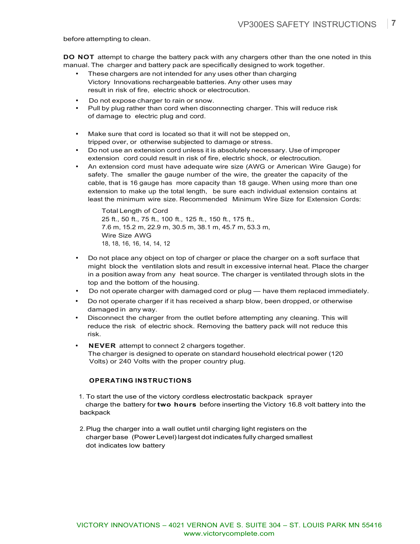before attempting to clean.

**DO NOT** attempt to charge the battery pack with any chargers other than the one noted in this manual. The charger and battery pack are specifically designed to work together.

- These chargers are not intended for any uses other than charging Victory Innovations rechargeable batteries. Any other uses may result in risk of fire, electric shock or electrocution.
- Do not expose charger to rain or snow.
- Pull by plug rather than cord when disconnecting charger. This will reduce risk of damage to electric plug and cord.
- Make sure that cord is located so that it will not be stepped on, tripped over, or otherwise subjected to damage or stress.
- Do not use an extension cord unless it is absolutely necessary. Use of improper extension cord could result in risk of fire, electric shock, or electrocution.
- An extension cord must have adequate wire size (AWG or American Wire Gauge) for safety. The smaller the gauge number of the wire, the greater the capacity of the cable, that is 16 gauge has more capacity than 18 gauge. When using more than one extension to make up the total length, be sure each individual extension contains at least the minimum wire size. Recommended Minimum Wire Size for Extension Cords:

Total Length of Cord 25 ft., 50 ft., 75 ft., 100 ft., 125 ft., 150 ft., 175 ft., 7.6 m, 15.2 m, 22.9 m, 30.5 m, 38.1 m, 45.7 m, 53.3 m, Wire Size AWG 18, 18, 16, 16, 14, 14, 12

- Do not place any object on top of charger or place the charger on a soft surface that might block the ventilation slots and result in excessive internal heat. Place the charger in a position away from any heat source. The charger is ventilated through slots in the top and the bottom of the housing.
- Do not operate charger with damaged cord or plug have them replaced immediately.
- Do not operate charger if it has received a sharp blow, been dropped, or otherwise damaged in any way.
- Disconnect the charger from the outlet before attempting any cleaning. This will reduce the risk of electric shock. Removing the battery pack will not reduce this risk.
- **NEVER** attempt to connect 2 chargers together. The charger is designed to operate on standard household electrical power (120 Volts) or 240 Volts with the proper country plug.

#### **OPERATING INSTRUCTIONS**

- 1. To start the use of the victory cordless electrostatic backpack sprayer charge the battery for **two hours** before inserting the Victory 16.8 volt battery into the backpack
- 2.Plug the charger into a wall outlet until charging light registers on the charger base (Power Level) largest dot indicates fully charged smallest dot indicates low battery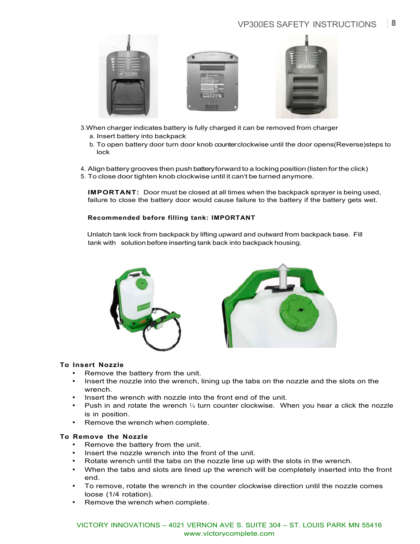## VP300ES SAFETY INSTRUCTIONS **8**



- 3.When charger indicates battery is fully charged it can be removed from charger a. Insert battery into backpack
	- b. To open battery door turn door knob counter clockwise until the door opens(Reverse)steps to lock
- 4. Align battery grooves then push battery forward to a locking position(listen forthe click)
- 5. To close door tighten knob clockwise until it can't be turned anymore.

**IMPORTANT:** Door must be closed at all times when the backpack sprayer is being used, failure to close the battery door would cause failure to the battery if the battery gets wet.

### **Recommended before filling tank: IMPORTANT**

Unlatch tank lock from backpack by lifting upward and outward from backpack base. Fill tank with solution before inserting tank back into backpack housing.





#### **To Insert Nozzle**

- Remove the battery from the unit.
- Insert the nozzle into the wrench, lining up the tabs on the nozzle and the slots on the wrench.
- Insert the wrench with nozzle into the front end of the unit.
- Push in and rotate the wrench  $\frac{1}{4}$  turn counter clockwise. When you hear a click the nozzle is in position.
- Remove the wrench when complete.

#### **To Remove the Nozzle**

- Remove the battery from the unit.
- Insert the nozzle wrench into the front of the unit.
- Rotate wrench until the tabs on the nozzle line up with the slots in the wrench.
- When the tabs and slots are lined up the wrench will be completely inserted into the front end.
- To remove, rotate the wrench in the counter clockwise direction until the nozzle comes loose (1/4 rotation).
- Remove the wrench when complete.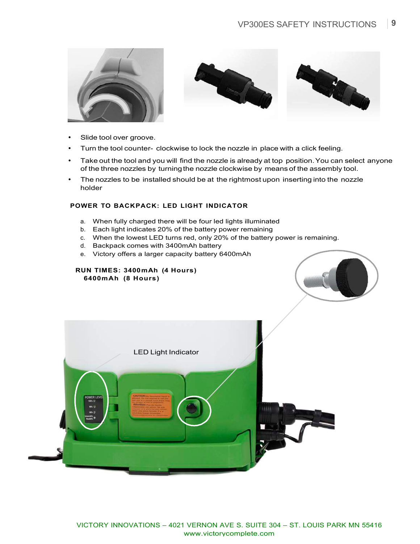



- Slide tool over groove.
- Turn the tool counter- clockwise to lock the nozzle in place with a click feeling.
- Take out the tool and you will find the nozzle is already at top position. You can select anyone of the three nozzles by turning the nozzle clockwise by means of the assembly tool.
- The nozzles to be installed should be at the rightmost upon inserting into the nozzle holder

### **POWER TO BACKPACK: LED LIGHT INDICATOR**

- a. When fully charged there will be four led lights illuminated
- b. Each light indicates 20% of the battery power remaining
- c. When the lowest LED turns red, only 20% of the battery power is remaining.
- d. Backpack comes with 3400mAh battery
- e. Victory offers a larger capacity battery 6400mAh

#### **RUN TIMES: 3400 m Ah (4 Hours) 6400 m Ah (8 Hours)**



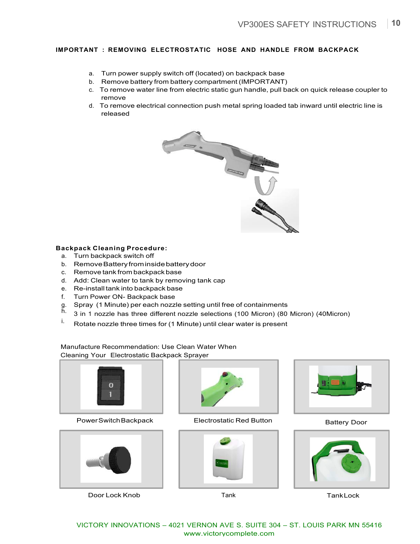## **IMPORTANT : REMOVING ELECTROSTATIC HOSE AND HANDLE FROM BACKPACK**

- a. Turn power supply switch off (located) on backpack base
- b. Remove battery from battery compartment (IMPORTANT)
- c. To remove water line from electric static gun handle, pull back on quick release coupler to remove
- d. To remove electrical connection push metal spring loaded tab inward until electric line is released



#### **Backpack Cleaning Procedure:**

- a. Turn backpack switch off
- b. RemoveBattery frominsidebatterydoor
- c. Remove tank from backpack base
- d. Add: Clean water to tank by removing tank cap
- e. Re-install tank into backpack base
- f. Turn Power ON- Backpack base
- g. Spray (1 Minute) per each nozzle setting until free of containments
- h. 3 in 1 nozzle has three different nozzle selections (100 Micron) (80 Micron) (40Micron)
- <sup>i.</sup> Rotate nozzle three times for (1 Minute) until clear water is present

Manufacture Recommendation: Use Clean Water When Cleaning Your Electrostatic Backpack Sprayer



Power Switch Backpack **Electrostatic Red Button** Battery Door



Door Lock Knob Tank TankLock







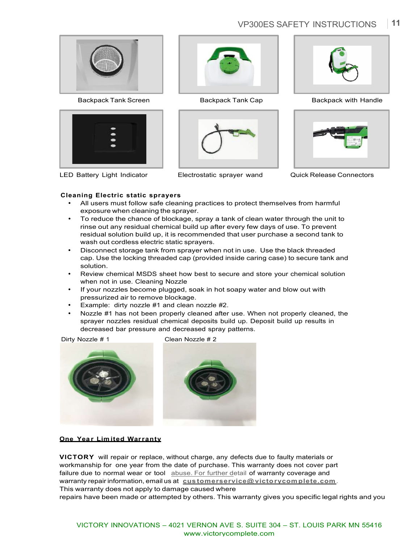# VP300ES SAFETY INSTRUCTIONS **11**



Backpack Tank Screen **Backpack Tank Cap** Backpack with Handle







LED Battery Light Indicator Electrostatic sprayer wand Quick Release Connectors





### **Cleaning Electric static sprayers**

- All users must follow safe cleaning practices to protect themselves from harmful exposure when cleaning the sprayer.
- To reduce the chance of blockage, spray a tank of clean water through the unit to rinse out any residual chemical build up after every few days of use. To prevent residual solution build up, it is recommended that user purchase a second tank to wash out cordless electric static sprayers.
- Disconnect storage tank from sprayer when not in use. Use the black threaded cap. Use the locking threaded cap (provided inside caring case) to secure tank and solution.
- Review chemical MSDS sheet how best to secure and store your chemical solution when not in use. Cleaning Nozzle
- If your nozzles become plugged, soak in hot soapy water and blow out with pressurized air to remove blockage.
- Example: dirty nozzle #1 and clean nozzle #2.
- Nozzle #1 has not been properly cleaned after use. When not properly cleaned, the sprayer nozzles residual chemical deposits build up. Deposit build up results in decreased bar pressure and decreased spray patterns.

Dirty Nozzle # 1 Clean Nozzle # 2



#### **One Year Limited Warranty**

**VICTORY** will repair or replace, without charge, any defects due to faulty materials or workmanship for one year from the date of purchase. This warranty does not cover part failure due to normal wear or tool abuse. For further detail of warranty coverage and warranty repair information, email us at customerservice@ victo r vcom plete.com. This warranty does not apply to damage caused where

repairs have been made or attempted by others. This warranty gives you specific legal rights and you